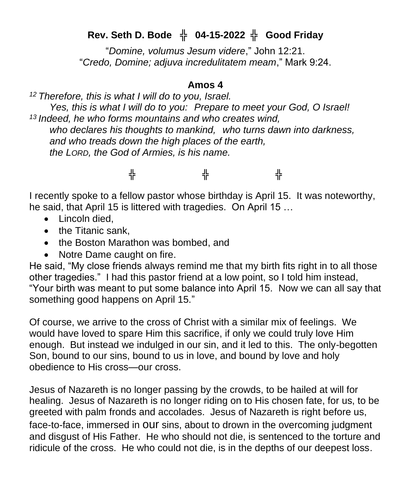## **Rev. Seth D. Bode** ╬ **04-15-2022** ╬ **Good Friday**

"*Domine, volumus Jesum videre*," John 12:21. "*Credo, Domine; adjuva incredulitatem meam*," Mark 9:24.

## **Amos 4**

*<sup>12</sup> Therefore, this is what I will do to you, Israel. Yes, this is what I will do to you: Prepare to meet your God, O Israel! <sup>13</sup> Indeed, he who forms mountains and who creates wind, who declares his thoughts to mankind, who turns dawn into darkness, and who treads down the high places of the earth, the LORD, the God of Armies, is his name.*

## ╬ ╬ ╬

I recently spoke to a fellow pastor whose birthday is April 15. It was noteworthy, he said, that April 15 is littered with tragedies. On April 15 …

- Lincoln died.
- the Titanic sank.
- the Boston Marathon was bombed, and
- Notre Dame caught on fire.

He said, "My close friends always remind me that my birth fits right in to all those other tragedies." I had this pastor friend at a low point, so I told him instead, "Your birth was meant to put some balance into April 15. Now we can all say that something good happens on April 15."

Of course, we arrive to the cross of Christ with a similar mix of feelings. We would have loved to spare Him this sacrifice, if only we could truly love Him enough. But instead we indulged in our sin, and it led to this. The only-begotten Son, bound to our sins, bound to us in love, and bound by love and holy obedience to His cross—our cross.

Jesus of Nazareth is no longer passing by the crowds, to be hailed at will for healing. Jesus of Nazareth is no longer riding on to His chosen fate, for us, to be greeted with palm fronds and accolades. Jesus of Nazareth is right before us, face-to-face, immersed in our sins, about to drown in the overcoming judgment and disgust of His Father. He who should not die, is sentenced to the torture and ridicule of the cross. He who could not die, is in the depths of our deepest loss.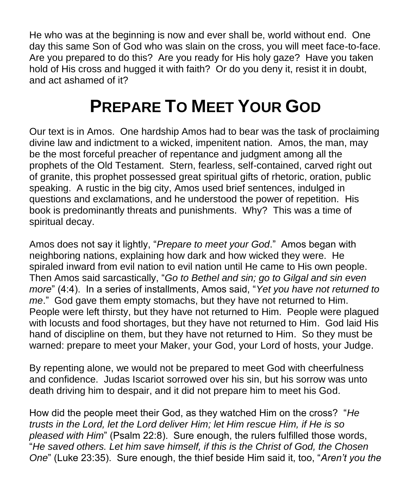He who was at the beginning is now and ever shall be, world without end. One day this same Son of God who was slain on the cross, you will meet face-to-face. Are you prepared to do this? Are you ready for His holy gaze? Have you taken hold of His cross and hugged it with faith? Or do you deny it, resist it in doubt, and act ashamed of it?

## **PREPARE TO MEET YOUR GOD**

Our text is in Amos. One hardship Amos had to bear was the task of proclaiming divine law and indictment to a wicked, impenitent nation. Amos, the man, may be the most forceful preacher of repentance and judgment among all the prophets of the Old Testament. Stern, fearless, self-contained, carved right out of granite, this prophet possessed great spiritual gifts of rhetoric, oration, public speaking. A rustic in the big city, Amos used brief sentences, indulged in questions and exclamations, and he understood the power of repetition. His book is predominantly threats and punishments. Why? This was a time of spiritual decay.

Amos does not say it lightly, "*Prepare to meet your God*." Amos began with neighboring nations, explaining how dark and how wicked they were. He spiraled inward from evil nation to evil nation until He came to His own people. Then Amos said sarcastically, "*Go to Bethel and sin; go to Gilgal and sin even more*" (4:4). In a series of installments, Amos said, "*Yet you have not returned to me*." God gave them empty stomachs, but they have not returned to Him. People were left thirsty, but they have not returned to Him. People were plagued with locusts and food shortages, but they have not returned to Him. God laid His hand of discipline on them, but they have not returned to Him. So they must be warned: prepare to meet your Maker, your God, your Lord of hosts, your Judge.

By repenting alone, we would not be prepared to meet God with cheerfulness and confidence. Judas Iscariot sorrowed over his sin, but his sorrow was unto death driving him to despair, and it did not prepare him to meet his God.

How did the people meet their God, as they watched Him on the cross? "*He trusts in the Lord, let the Lord deliver Him; let Him rescue Him, if He is so pleased with Him*" (Psalm 22:8). Sure enough, the rulers fulfilled those words, "*He saved others. Let him save himself, if this is the Christ of God, the Chosen One*" (Luke 23:35). Sure enough, the thief beside Him said it, too, "*Aren't you the*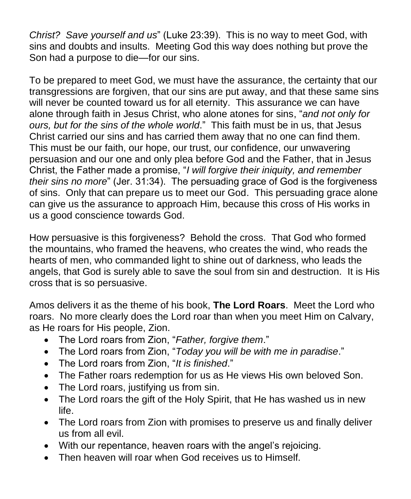*Christ? Save yourself and us*" (Luke 23:39). This is no way to meet God, with sins and doubts and insults. Meeting God this way does nothing but prove the Son had a purpose to die—for our sins.

To be prepared to meet God, we must have the assurance, the certainty that our transgressions are forgiven, that our sins are put away, and that these same sins will never be counted toward us for all eternity. This assurance we can have alone through faith in Jesus Christ, who alone atones for sins, "*and not only for ours, but for the sins of the whole world*." This faith must be in us, that Jesus Christ carried our sins and has carried them away that no one can find them. This must be our faith, our hope, our trust, our confidence, our unwavering persuasion and our one and only plea before God and the Father, that in Jesus Christ, the Father made a promise, "*I will forgive their iniquity, and remember their sins no more*" (Jer. 31:34). The persuading grace of God is the forgiveness of sins. Only that can prepare us to meet our God. This persuading grace alone can give us the assurance to approach Him, because this cross of His works in us a good conscience towards God.

How persuasive is this forgiveness? Behold the cross. That God who formed the mountains, who framed the heavens, who creates the wind, who reads the hearts of men, who commanded light to shine out of darkness, who leads the angels, that God is surely able to save the soul from sin and destruction. It is His cross that is so persuasive.

Amos delivers it as the theme of his book, **The Lord Roars**. Meet the Lord who roars. No more clearly does the Lord roar than when you meet Him on Calvary, as He roars for His people, Zion.

- The Lord roars from Zion, "*Father, forgive them*."
- The Lord roars from Zion, "*Today you will be with me in paradise*."
- The Lord roars from Zion, "*It is finished*."
- The Father roars redemption for us as He views His own beloved Son.
- The Lord roars, justifying us from sin.
- The Lord roars the gift of the Holy Spirit, that He has washed us in new life.
- The Lord roars from Zion with promises to preserve us and finally deliver us from all evil.
- With our repentance, heaven roars with the angel's rejoicing.
- Then heaven will roar when God receives us to Himself.